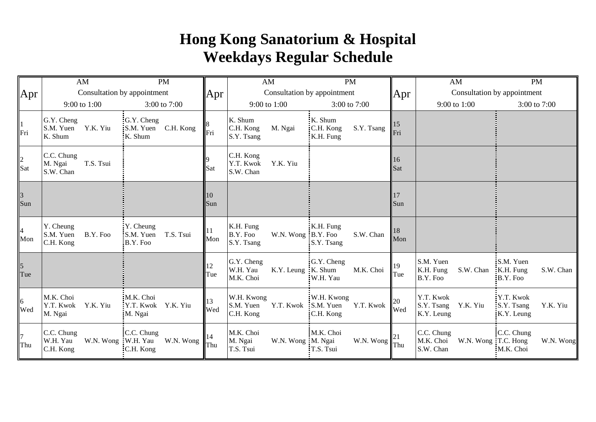## **Hong Kong Sanatorium & Hospital Weekdays Regular Schedule**

|                        | AM                                                        | <b>PM</b>                                            |                       | AM                                              | <b>PM</b>                                                                       |                      | AM                                                           | <b>PM</b>                                          |
|------------------------|-----------------------------------------------------------|------------------------------------------------------|-----------------------|-------------------------------------------------|---------------------------------------------------------------------------------|----------------------|--------------------------------------------------------------|----------------------------------------------------|
| <b>Apr</b>             | Consultation by appointment                               |                                                      | Apr                   | Consultation by appointment                     |                                                                                 |                      | Consultation by appointment                                  |                                                    |
|                        | 9:00 to 1:00                                              | 3:00 to 7:00                                         |                       | 9:00 to 1:00                                    | 3:00 to 7:00                                                                    | Apr                  | 9:00 to 1:00                                                 | 3:00 to 7:00                                       |
| $\frac{1}{1}$ Fri      | G.Y. Cheng<br>Y.K. Yiu<br>S.M. Yuen<br>K. Shum            | G.Y. Cheng<br>C.H. Kong<br>S.M. Yuen<br>K. Shum      | Fri                   | K. Shum<br>C.H. Kong<br>M. Ngai<br>S.Y. Tsang   | K. Shum<br>S.Y. Tsang<br>C.H. Kong<br>K.H. Fung                                 | <sup>15</sup><br>Fri |                                                              |                                                    |
| $\frac{2}{\text{Sat}}$ | C.C. Chung<br>T.S. Tsui<br>M. Ngai<br>S.W. Chan           |                                                      | Sat                   | C.H. Kong<br>Y.T. Kwok<br>Y.K. Yiu<br>S.W. Chan |                                                                                 | 16<br>Sat            |                                                              |                                                    |
| $\frac{3}{\text{Sun}}$ |                                                           |                                                      | 10<br>Sun             |                                                 |                                                                                 | 17<br>Sun            |                                                              |                                                    |
| $\frac{4}{\text{Mon}}$ | Y. Cheung<br>B.Y. Foo<br>S.M. Yuen<br>C.H. Kong           | $Y$ . Cheung<br>T.S. Tsui<br>:S.M. Yuen<br>B.Y. Foo: | $\blacksquare$<br>Mon | K.H. Fung<br>B.Y. Foo<br>S.Y. Tsang             | K.H. Fung<br>W.N. Wong : B.Y. Foo<br>S.W. Chan<br>:S.Y. Tsang                   | 18<br>Mon            |                                                              |                                                    |
| $\frac{5}{\text{Tue}}$ |                                                           |                                                      | 12<br>Tue             | G.Y. Cheng<br>W.H. Yau<br>M.K. Choi             | G.Y. Cheng<br>K.Y. Leung K. Shum<br>M.K. Choi<br>:W.H. Yau                      | 19<br>Tue            | S.M. Yuen<br>K.H. Fung<br>S.W. Chan<br>B.Y. Foo              | :S.M. Yuen<br>K.H. Fung<br>S.W. Chan<br>B.Y. Foo:  |
| 6<br>Wed               | M.K. Choi<br>Y.K. Yiu<br>Y.T. Kwok<br>M. Ngai             | M.K. Choi<br>Y.T. Kwok Y.K. Yiu<br>M. Ngai           | 13<br>Wed             | W.H. Kwong<br>S.M. Yuen<br>C.H. Kong            | :W.H. Kwong<br>Y.T. Kwok : S.M. Yuen<br>Y.T. Kwok<br>C.H. Kong                  | 20<br>Wed            | Y.T. Kwok<br>S.Y. Tsang<br>Y.K. Yiu<br>K.Y. Leung            | Y.T. Kwok<br>:S.Y. Tsang<br>Y.K. Yiu<br>K.Y. Leung |
| $\overline{7}$<br>Thu  | C.C. Chung<br>W.H. Yau<br>W.N. Wong W.H. Yau<br>C.H. Kong | C.C. Chung<br>W.N. Wong<br>C.H. Kong                 | 14<br>Thu             | M.K. Choi<br>M. Ngai<br>T.S. Tsui               | M.K. Choi<br>W.N. Wong : M. Ngai<br>W.N. Wong $\vert \vert$ Thu<br>$:T.S.$ Tsui |                      | C.C. Chung<br>M.K. Choi<br>W.N. Wong: T.C. Hong<br>S.W. Chan | :C.C. Chung<br>W.N. Wong<br>M.K. Choi              |